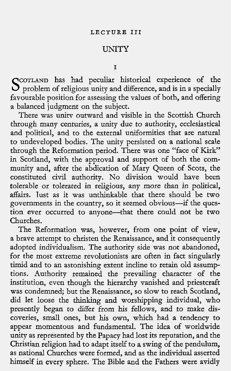# UNITY

T

SCOTLAND has had peculiar historical experience of the problem of religious unity and difference, and is in a specially favourable position for assessing the values of both, and offering a balanced judgment on the subject.

There was unitv outward and visible in the Scottish Church through many centuries, a unity due to authority, ecclesiastical and political, and to the external uniformities that are natural to undeveloped bodies. The unity persisted on a national scale through the Reformation period. There was one "face of Kirk" in Scotland, with the approval and support of both the community and, after the abdication of Mary Queen of Scots, the constituted civil authority. No division would have been tolerable or tolerated in religious, any more than in political, affairs. lust as it was unthinkable that there should-be two governments in the country, so it seemed obvious-if the question ever occurred to anyone-that there could not be two Churches.

The Reformation was, however, from one point of view, a brave attempt to christen the Renaissance, and it consequently adopted individualism. The authority side was not abandoned, for the most extreme revolutionists are often in fact singularly timid and to an astonishing extent incline to retain old assumptions. Authority remained the prevailing character of the institution, even though the hierarchy vanished and priestcraft was condemned; but the Renaissance, so slow to reach Scotland, did let loose the thinking and worshipping individual, who presently began to differ from his fellows, and to make discoveries, small ones, but his own, which had a tendency to appear momentous and fundamental. The idea of worldwide unity as represented by the Papacy had lost its reputation, and the Christian religion had to adapt itself to a swing of the pendulum, as national Churches were formed, and as the individual asserted himself in every sphere. The Bible and the Fathers were avidly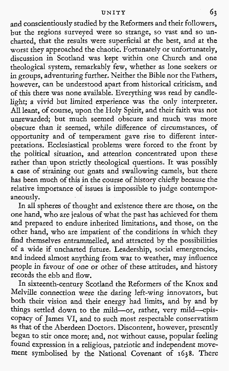# UNITY 63

and conscientiously studied by the Reformers and their followers, but the regions surveyed were so strange, so vast and so uncharted, that the results were superficial at the best, and at the worst they approached the chaotic. Fortunately or unfortunately, discussion in Scotland was kept within one Church and one theological system, remarkably few, whether as lone seekers or in groups, adventuring further. Neither the Bible nor the Fathers, however, can be understood apart from historical criticism, and of this there was none available. Everything was read by candlelight; a vivid but limited experience was the only interpreter. All leant, of course, upon the Holy Spirit, and their faith was not unrewarded; but much seemed obscure and much was more obscure than it seemed, while difference of circumstances, of opportunity and of temperament gave rise to different interpretations. Ecclesiastical problems were forced to the front by the political situation, and attention concentrated upon these rather than, upon strictly theological questions. It was possibly a case of straining out gnats and swallowing camels, but there has been much of this in the course of history chiefly because the relative importance of issues is impossible to judge contemporaneously.

In all spheres of thought and existence there are those, on the one hand, who are jealous of what the past has achieved for them and prepared to endure inherited limitations, and those, on the other hand, who are impatient of the conditions in which they find themselves entrammelled, and attracted by the possibilities of a wide if uncharted future. Leadership, social emergencies, and indeed almost anything from war to weather, may influence people in favour of one or other of these attitudes, and history records the ebb and flow.

In sixteenth-century Scotland the Reformers of the Knox and Melville connection were the daring left-wing innovators, but both their vision and their energy had limits, and by and by things settled down to the mild-or, rather, very mild--ep copacy of James VI, and to such most respectable conservatism as that of the Aberdeen Doctors. Discontent, however, presently began to stir once more; and, not without cause, popular feeling found expression in a religious, patriotic and independent movement symbolised by the National Covenant of **1638.** There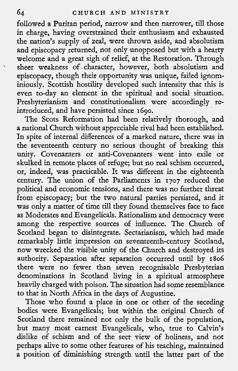followed a Puritan period, narrow and then narrower, till those in charge, having overstrained their enthusiasm and exhausted the nation's supply of zeal, were thrown aside, and absolutism and episcopacy returned, not only unopposed but with a hearty welcome and a great sigh of relief, at the Restoration. Through \* sheer weakness of. character, however, both absolutism and episcopacy, though their opportunity was unique, failed ignominiously. Scottish hostility developed such intensity that this is even to-day an element in the spiritual and social situation. Presbyterianism and constitutionalism were accordingly reintroduced, and have persisted since 1690.

The Scots Reformation had been relatively thorough, and a national Church without appreciable rival had been established. In spite of internal differences of a marked nature, there was in the seventeenth century no serious thought of breaking this unity. Covenanters or anti-Covenanters went into exile or skulked in remote places of refuge; but no real schism occurred, or, indeed, was practicable. It was different in the eighteenth century. The union of the Parliaments in 1707 reduced the political and economic tensions, and there was no further threat from episcopacy; but the two natural parties persisted, and it was only a matter of time till they found themselves face to face as Moderates and Evangelicals. Rationalism and democracy were among the respective sources of influence. The Church of Scotland began to disintegrate. Sectarianism, which had made remarkably little impression on seventeenth-century Scotland, now wrecked the visible unity of the Church and destroyed its authority. Separation after separation occurred until by **1806**  there were no fewer than seven recognisable Presbyterian denominations in Scotland living in a spiritual atmosphere heavily charged with poison. The situation had some resemblance to that in North Africa in the days of Augustine.

Those who found a place in one or other of the seceding bodies were Evangelicals; but within the original Church of Scotland there remained not only the bulk of the population, but many most earnest Evangelicals, who, true to Calvin's dislike of schism and of the sect view of holiness, and not perhaps alive to some other features of his teaching, maintained a position of diminishing strength until the latter part of the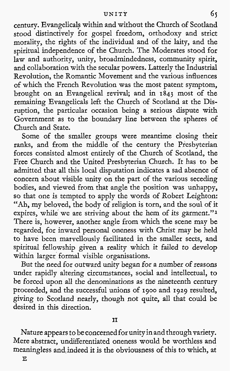## **UNITY 6~**

century. Evangelicals within and without the Church of Scotland stood distinctively for gospel freedom, orthodoxy and strict morality, the rights of the individual and of the laity, and the spiritual independence of the Church. The Moderates stood for law and authority, unity, broadmindedness, community spirit, and collaboration with the secular powers. Latterly the Industrial Revolution, the Romantic Movement and the various influences of which the French Revolution was the most patent symptom, brought on an Evangelical revival; and in 1843 most of the remaining Evangelicals left the Church of Scotland at the Disruption, the particular occasion being a serious dispute with Government as to the boundary line between the spheres of Church and State.

Some of the smaller groups were meantime closing their ranks, and from the middle of the century the Presbyterian forces consisted almost entirely of the Church of Scotland, the Free Church and the United Presbyterian Church. It has to be admitted that all this local disputation indicates a sad absence of concern about visible unity on the part of the various seceding bodies, and viewed from that angle the position was unhappy, so that one is tempted to apply the words of Robert Leighton: "Ah, my beloved, the body of religion is torn, and the soul of it expires, while we are striving about the hem of its garment."<sup>1</sup> There is, however, another angle from which the scene may be regarded, for inward personal oneness with Christ may be held to have been marvellously facilitated in the smaller sects, and spiritual fellowship given a reality which it failed to develop within larger formal visible organisations.

But the need for outward unity began for a number of reasons under rapidly altering circumstances, social and intellectual, to be forced upon all the denominations as the nineteenth century proceeded, and the successful unions of 1900 and 1929 resulted, giving to Scotland nearly, though not quite, all that could be desired in this direction.

# **I1**

Nature appears to be concerned for unity in and through variety. Mere abstract, undifferentiated oneness would be worthless and meaningless and,indeed it is the obviousness of this to which, at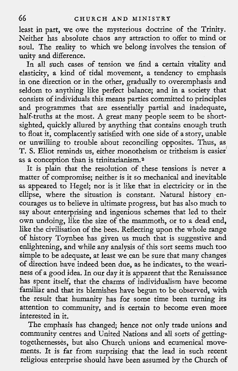least in part, we owe the mysterious doctrine of the Trinity. Neither has absolute chaos any attraction to offer to mind or soul. The reality to which we belong involves the tension of unity and difference.

In all such cases of tension we find a certain vitality and elasticity, a kind of tidal movement, a tendency to emphasis in one direction or in the other, gradually to overemphasis and seldom to anything like perfect balance; and in a society that consists of individuals this means parties committed to principles and programmes that are essentially partial and inadequate, half-truths at the most. A great many people seem to be shortsighted, quickly allured by anything that contains enough truth to float it, complacently satisfied with one side of a story, unable or unwilling to trouble about reconciling opposites. Thus, as T. S. Eliot reminds us, either monotheism or tritheism is easier as a conception than is trinitarianism.2

It is plain that the resolution of these tensions is never a matter of compromise; neither is it so mechanical and inevitable as appeared to Hegel; nor is it like that in electricity or in the ellipse, where the situation is constant. Natural history encourages us to believe in ultimate progress, but has also much to say about enterprising and ingenious schemes that led to their own undoing, like the size of the mammoth, or to a dead end, like the civilisation of the bees. Reflecting upon the whole range of history Toynbee has given us much that is suggestive and enlightening, and while any analysis of this sort seems much too simple to be adequate, at least we can be sure that many changes of direction have indeed been due, as he indicates, to the weariness of a good idea. In our day it is apparent that the Renaissance has spent itself, that the charms of individualism have become familiar and that its blemishes have begun to be observed, with the result that humanity has for some time been turning its attention to community, and is certain to become even more interested in it.

The emphasis has changed; hence not only trade unions and community centres and United Nations and all sorts of gettingtogethernesses, but also Church unions and ecumenical movements. It is far from surprising that the lead in such reeent religious enterprise should have been assumed by the Church of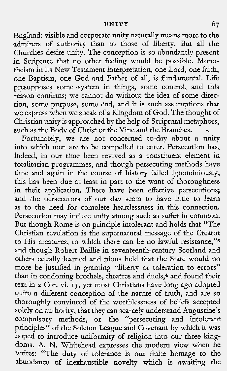England: visible and corporate unity naturally means more to the admirers of authority than to those of liberty. But all the Churches desire unity. The conception is so abundantly present in Scripture that no other feeling would be possible. Monotheism in its New Testament interpretation, one Lord, one faith, one Baptism, one God and Father of all, is fundamental. Life presupposes some .system in things, some control, and this reason confirms; we cannot do without the idea of some direction, some purpose, some end, and it is such assumptions that we express when we speak of a Kingdom of God. The thought of Christian unity is approached by the help of Scriptural metaphors,

Fortunately, we are not concerned to-day about a unity into which men are to be compelled to enter. Persecution has, indeed, in our time been revived as a constituent element in totalitarian programmes, and though persecuting methods have time and again in the course of history failed ignominiously, this has been due at least in part to the want of thoroughness in their application. There have been effective persecutions; and the persecutors of our day seem to have little to learn as to the need for complete heartlessness in this connection. Persecution may induce unity among such as suffer in common. But though Rome is on principle intolerant and holds that "The Christian revelation is the supernatural message of the Creator to His creatures, to which there can be no lawful resistance,"<sup>3</sup> and though Robert Baillie in seventeenth-century Scotland and others equally learned and pious held that the State would no more be justified in granting "liberty or toleration to errors" than in condoning brothels, theatres and duels,<sup>4</sup> and found their text in 2 Cor. vi. **15,** yet most Christians have long ago adopted quite a different conception of the nature of truth, and are so thoroughly convinced of the worthlessness of beliefs accepted solely on authority, that they can scarcely understand Augustine's compulsory methods, or the "persecuting and intolerant principles" of the Solemn League and Covenant by which it was hoped to introduce uniformity of religion into our three kingdoms. A. N. Whitehead expresses the modern view when he writes: "The duty of tolerance is our finite homage to the abundance of inexhaustible novelty which is awaiting the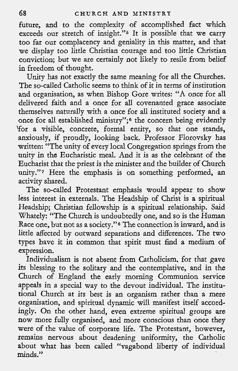future, and to the complexity of accomplished fact which exceeds our stretch of insight."<sup>5</sup> It is possible that we carry too far our complacency and geniality in this matter, and that we display too little Christian courage and too little Christian conviction; but we are certainly not likely to resile from belief in freedom of thought.

Unity has not exactly the same meaning for all the Churches. The so-called Catholic seems to think of it in terms of institution and organisation, as when Bishop Gore writes: "A once for all delivered faith and a once for all covenanted grace associate themselves naturally with a once for all instituted society and a once for all established ministry";<sup>6</sup> the concern being evidently 'for a visible, concrete, formal entity, so that one stands, anxiously, if proudly, looking back. Professor Florovsky has written: "The unity of every local Congregation springs from the unity in the Eucharistic meal. And it is as the celebrant of the Eucharist that the priest is the minister and the builder of Church unity."7 Here the emphasis is on something performed, an activitv shared.

The so-called Protestant emphasis would appear to show less interest in externals. The Headship of Christ is a spiritual Headship; Christian fellowship is a spiritual relationship. Said Whately: "The Church is undoubtedly one, and so is the Human Race one, but not as a society."<sup>8</sup> The connection is inward, and is little affected by outward separations and differences. The two types have it in common that spirit must find a medium of expression.

Individualism is not absent from Catholicism. for that gave its blessing to the solitary and the contemplative, and in the Church of England the early morning Communion service appeals in a special way to the devout individual. The institu-The church at its best is an organism rather than a mere organisation, and spiritual dynamic will manifest itself accordingly. On the other hand, even extreme spiritual groups are now more fully organised, and more conscious than once they were of the value of corporate life. The Protestant, however, remains nervous about deadening uniformity, the Catholic about what has been called "vagabond liberty of individual minds."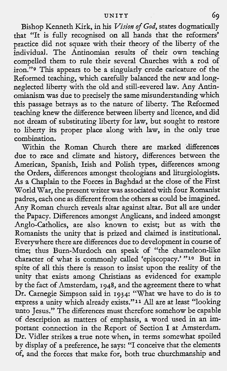Bishop Kenneth Kirk, in his *Vision of God*, states dogmatically that "It is fully recognised on all hands that the reformers' practice did not square with their theory of the liberty of the individual. The Antinomian results of their own teaching compelled them to rule their several Churches with a rod of iron."g This appears to be a singularly crude caricature of the Reformed teaching, which carefully balanced the new and longneglected liberty with the old and still-revered law. Any Antinomianism was due to precisely the same misunderstanding which this passage betrays as to the nature of liberty. The Reformed teaching knew the difference between liberty and licence, and did not dream of substituting liberty for law, but sought to restore to liberty its proper place along with law, in the only true combination.

Within the Roman Church there are marked differences due to race and climate and history, differences between the American, Spanish, Irish and Polish types, differences among the Orders, differences amongst theologians and liturgiologists. As a Chaplain to the Forces in Baghdad at the close of the First World War, the present writer was associated with four Romanist padres, each one as different from the others as could be imagined. Any Roman church reveals altar against altar. But all are under the Papacy. Differences amongst Anglicans, and indeed amongst Anglo-Catholics, are also known to exist; but as with the Romanists the unity that is prized and claimed is institutional. Everywhere there are differences due to development in course of time; thus Burn-Murdoch can speak of "the chameleon-like character of what is commonly called 'episcopacy.' **"10** But in spite of all this there is reason to insist upon the reality of the unity that exists among Christians as evidenced for example by the fact of Amsterdam, 1948, and the agreement there to what Dr. Carnegie Simpson said in 1934: ''What we have to do is to express a unity which already exists."<sup>11</sup> All are at least "looking unto Jesus." The differences must therefore somehow be capable of description as matters of emphasis, a word used in an important connection in the Report of Section I at Amsterdam. Dr. Vidler strikes a true note when, in terms somewhat spoiled by display of a preference, he says: "I conceive that the elements of, and the forces that make for, both true churchmanship and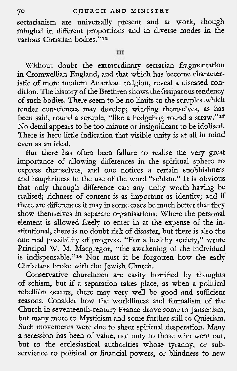sectarianism are universally present and at work, though mingled in different proportions and in diverse modes in the various Christian bodies."l2

#### **III**

Without doubt the extraordinary sectarian fragmentation in Cromwellian England, and that which has become characteristic of more modern American religion, reveal a diseased condition. The history of the Brethren shows the fissiparous tendency of such bodies. There seem to be no limits to the scruples which tender consciences may develop; winding themselves, as has been said, round a scruple, ''like a hedgehog round a straw.''18 No detail appears to be too minute or insignificant to be idolised. There is here little indication that visible unity is at all in mind even as an ideal.

But there has often been failure to realise the very great importance of allowing differences in the spiritual sphere **to**  express themselves, and one notices a certain snobbishness and haughtiness in the use of the word "schism." It is obvious that only through difference can any unity worth having be realised; richness of content is as important as identity; and if there are differences it may in some cases be much better that they show themselves in separate organisations. Where the personal element is allowed freely to enter in at the expense of the institutional, there is no doubt risk of disaster, but there is also the one real possibility of progress. "For a healthy society," wrote Principal W. M. Macgregor, "the awakening of the individual is indispensable."<sup>14</sup> Nor must it be forgotten how the early Christians broke with the Jewish Church.

Conservative churchmen are easily horrified by thoughts of schism, but if a separation takes place, as when a political rebellion occurs, there may very well be good and sufficient reasons. Consider how the worldliness and formalism of the Church in seventeenth-century France drove some to Jansenism, but many more to Mysticism and some further still to Quietism. Such movements were due to sheer spiritual desperation. Many a secession has been of value, not only to those who went out, but to the ecclesiastical authorities whose tyranny, or subservience to political or financial powers, or blindness to new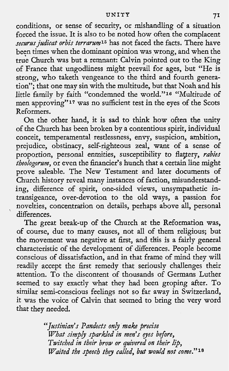#### **UNITY** 7I

conditions, or sense of security, or mishandling of a situation forced the issue. It is also to be noted how often the complacent securus judicat orbis terrarum<sup>15</sup> has not faced the facts. There have been times when the dominant opinion was wrong, and when the true Church was but a remnant: Calvin pointed out to the King of France that ungodliness might prevail for ages, but "He is strong, who taketh vengeance to the third and fourth generation"; that one may sin with the multitude, but that Noah and his little family by faith "condemned the world."<sup>16</sup> "Multitude of men approving"<sup>17</sup> was no sufficient test in the eyes of the Scots Reformers.

On the other hand, it is sad to think how often the unity of the Church has been broken by a contentious spirit, individual conceit, temperamental restlessness, envy, suspicion, ambition, prejudice, obstinacy, self-righteous zeal, want of a sense of proportion, personal enmities, susceptibility to flattery, rabies theologorum, or even the financier's hunch that a certain line might prove saleable. The New Testament and later documents of Church history reveal many instances of faction, misunderstanding, difference of spirit, one-sided views, unsympathetic intransigeance, over-devotion to the old ways, a passion for novelties, concentration on details, perhaps above all, personal differences.

The great break-up of the Church at the Reformation was, of course, due to many causes, not all of them religious; but the movement was negative at first, and this is a fairly general characteristic of the development of differences. People become conscious of dissatisfaction, and in that frame of mind they will readily accept the first remedy that seriously challenges their attention. To the discontent of thousands of Germans Luther seemed to say exactly what they had been groping after. To similar semi-conscious feelings not so far away in Switzerland, it was the voice of Calvin that seemed to bring the very word that they needed.

> "Justinian's Pandects only make precise What simply sparkled in men's eyes before, Twitched in their brow or quivered on their lip, Waited the speech they called, **but** would not come."ls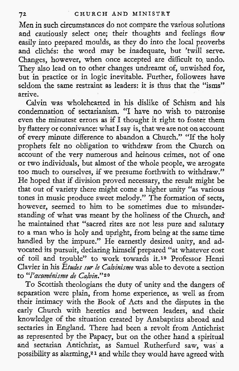Men in such circumstances do not compare the various solutions and cautiously select one; their thoughts and feelings flow easily into prepared moulds, as they do into the local proverbs and clichés: the word may be inadequate, but 'twill serve. Changes, however, when once accepted are difficult to, undo. They also lead on to other changes undreamt of, unwished for, but in practice or in logic inevitable. Further, followers have seldom the same restraint as leaders: it is thus that the "isms" arrive.

Calvin was wholehearted in his dislike of Schism and his condemnation of sectarianism. "I have no wish to patronise even the minutest errors as if I thought it right to foster them by flattery or connivance: what I say is, that we are not on account of every minute difference to abandon a Church." "If the holy prophets felt no obligation to withdraw from the Church on account of the very numerous and heinous crimes, not of one or two individuals, but almost of the whole people, we arrogate too much to ourselves, if we presume forthwith to withdraw." He hoped that if division proved necessary, the result might be that out of variety there might come a higher unity "as various tones in music produce sweet melody." The formation of sects, however, seemed to him to be sometimes due to misunderstanding of what was meant by the holiness of the Church, and he maintained that "sacred rites are not less pure and salutary to a man who is holy and upright, from being at the same time handled by the impure." He earnestly desired unity, and advocated its pursuit, declaring himself prepared "at whatever cost of toil and trouble" to work towards it.<sup>19</sup> Professor Henri Clavier in his Etudes **sur** le Calvinisme was able to devote a section to "l'acuménisme de Calvin."<sup>20</sup>

To Scottish theologians the duty of unity and the dangers of separation were plain, from home experience, as well as from their intimacy with the Book of Acts and the disputes in the early Church with heretics and between leaders, and their knowledge of the situation created by Anabaptists abroad and sectaries in England. There had been a revolt from Antichrist as represented by the Papacy, but on the other hand a spiritual and sectarian Antichrist, as Samuel Rutherfurd saw, was' a possibility as alarming,<sup>21</sup> and while they would have agreed with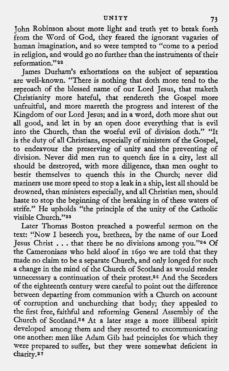John Robinson about more light and truth yet to break forth from the Word of God, they feared the ignorant vagaries of human imagination, and so were tempted to "come to a period in religion, and would go no further than the instruments of their reformation."22

James Durham's exhortations on the subject of separation are well-known. "There is nothing that doth more tend to the reproach of the blessed name of our Lord Jesus, that maketh Christianity more hateful, that rendereth the Gospel more unfruitful, and more marreth the progress and interest of the Kingdom of our Lord Jesus; and in a word, doth more shut out **all** good, and let in by an open door everything that is evil into the Church, than the woeful evil of division doth." "It is the duty of all Christians, especially of ministers of the Gospel, to endeavour the preserving of unity and the preventing of division. Never did men run to quench fire in a city, lest all should be destroyed, with more diligence, than men ought to bestir themselves to quench this in the Church; never did mariners use more speed to stop a leak in a ship, lest all should be drowned, than ministers especially, and all Christian men, should haste to stop the beginning of the breaking in of these waters of strife." He upholds "the principle of the unity of the Catholic visible Church."23

Later Thomas Boston preached a powerful sermon on the text: "Now I beseech you, brethren, by the name of our Lord<br>Jesus Christ . . . that there be no divisions among you."<sup>24</sup> Of the Cameronians who held aloof in **1690** we are told that they made no claim to be a separate Church, and only longed for such a change in the mind of the Church of Scotland as would render unnecessary a continuation of their protest.25 And the Seceders of the eighteenth century were careful to point out the difference between departing from communion with a Church on account of corruption and unchurching that body; they appealed to the first free, faithful and reforming General Assembly of the Church of Scotland.26 At a later stage a more illiberal spirit developed among them and they resorted to excommunicating one another: men like Adam Gib had principles for which they were prepared to suffer, but they were somewhat deficient in charity.27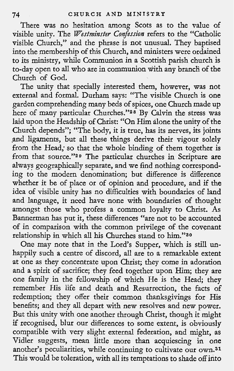There was no hesitation among Scots as to the value of visible unity. The *Westminster Confession* refers to the "Catholic visible Church," and the phrase is not unusual. They baptised into the membership of this Church, and ministers were ordained to its ministry, while Communion in a Scottish parish church is to-day open to all who are in communion with any brancli of the Church of God.

The unity that specially interested them, however, was not external and formal. Durham says: "The visible Church is one garden comprehending many beds of spices, one Church made up here of many particular Churches."<sup>28</sup> By Calvin the stress was laid upon the Headship of Christ: "On Him alone the unity of the Church depends"; "The body, it is true, has its nerves, its joints and ligaments, but all these things derive their vigour solely from the Head; so that the whole binding of them together is from that source."29 The particular churches in Scripture are always geographically separate, and we find nothing corresponding to the modern denomination; but difference is difference whether it be of place or of opinion and procedure, and if the idea of visible unity has no difficulties with boundaries of land and language, it need have none with boundaries of thought amongst those who profess a common loyalty to Christ. As Bannerman has put it, these differences "are not to be accounted of in comparison with the common privilege of the covenant relationship in which all his Churches stand to him."3o

One may note that in the Lord's Supper, which is still unhappily such a centre of discord, all are to a remarkable extent at one as they concentrate upon Christ; they come in adoration and a spirit of sacrifice; they feed together upon Him; they are one family in the fellowship of which He is the Head; they remember His life and death and Resurrection, the facts of redemption; they offer their common thanksgivings for His benefits; and they all depart with new resolves and new power. But this unity with one another through Christ, though it might if recognised, blur our differences to some extent, is obviously compatible with very slight external federation, and might, as Vidler suggests, mean little more than acquiescing in one another's peculiarities, while continuing to cultivate our own.31 This would be toleration, with all its temptations to shade off into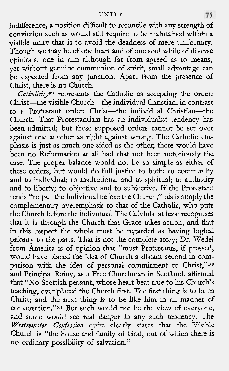indifference, a position difficult to reconcile with any strength of conviction such as would still require to be maintained within a visible unity that is to avoid the deadness of mere uniformity. Though we may be of one heart and of one soul while of diverse opinions, one in aim although far from agreed as to means, yet without genuine communion of spirit, small advantage can be expected from any junction. Apart from the presence of Christ, there is no Church.

Catholicity<sup>32</sup> represents the Catholic as accepting the order: Christ-the visible Church-the individual Christian, in contrast to a Protestant order: Christ-the individual Christian-th Church. That Protestantism has an individualist tendency has been admitted; but these supposed orders cannot be set over against one another as right against wrong. The Catholic emphasis is just as much one-sided as the other; there would have been no Reformation at all had that not been notoriously the case. The proper balance would not be so simple as either of these orders, but would do full justice to both; to community and to individual; to institutional and to spiritual; to authority and to liberty; to objective and to subjective. If the Protestant tends "to put the individual before the Church," his is simply the complementary overemphasis to that of the Catholic, who puts the Church before the individual. The Calvinist at least recognises that it is through the Church that Grace takes action, and that in this respect the whole must be regarded as having logical priority to the parts. That is not the complete story; Dr. Wedel from America is of opinion that "most Protestants, if pressed, would have placed the idea of Church a distant second in comparison with the idea of personal commitment to Christ,"33 and Principal Rainy, as a Free Churchman in Scotland, affirmed that "No Scottish peasant, whose heart beat true to his Church's teaching, ever placed the Church first. The first thing is to be in Christ; and the next thing is to be like him in all manner of conversation."34 But such would not be the view of everyone, and some would see real danger in any such tendency. The *Westminster Confession* quite clearly states that the Visible Church is "the house and family of God, out of which there is no ordinary ,possibility of salvation."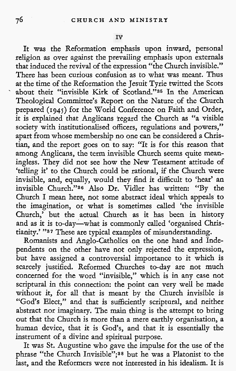It was the Reformation emphasis upon inward, personal religion as over against the prevailing emphasis upon externals that induced the revival of the expression "the Church invisible." There has been curious confusion as to what was meant. Thus at the time of the Reformation the Jesuit Tyrie twitted the Scots about their "invisible Kirk of Scotland."<sup>35</sup> In the American Theological Committee's Report on the Nature of the Church prepared **(194j)** for the World Conference on Faith and Order, it is explained that Anglicans regard the Church as "a visible society with institutionalised officers, regulations and powers," apart from whose membership no one can be considered a Christian, and the report goes on to say: "It is for this reason that among Anglicans, the term invisible Church seems quite meaningless. They did not see how the New Testament attitude of 'telling it' to the Church could be rational, if the Church were invisible, and, equally, would they find it difficult to 'hear' an invisible Church."36 Also Dr. Vidler has written: "By the Church I mean here, not some abstract ideal which appeals to the imagination, or what is sometimes called 'the invisible Church,' but the actual Church as it has been in history and as it is to-day-what is commonly called 'organised Christianity.' "37 These are typical examples of misunderstanding.

Romanists and Anglo-Catholics on the one hand and Independents on the other have not only rejected the expression, but have assigned a controversial importance to it which is scarcely justified. Reformed Churches to-day are not much concerned for the word "invisible," which is in any case not scriptural in this connection: the point can very well be made without it, for all that is meant by the Church invisible is "God's Elect," and that is sufficiently scriptural, and neither abstract nor imaginary. The main thing is the attempt to bring out that the Church is more than a mere earthly organisation, a human device, that it is God's, and that it is essentially the instrument of a divine and spiritual purpose.

It was St. Augustine who gave the impulse for the use of the phrase "the Church Invisible";<sup>38</sup> but he was a Platonist to the last, and the Reformers were not interested in his idealism. It is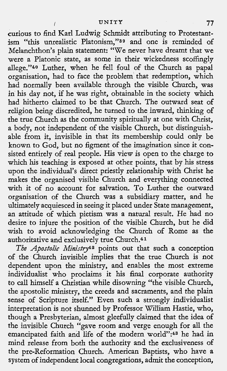curious to find Karl Ludwig Schmidt attributing to Protestantism "this unrealistic Platonism,"<sup>39</sup> and one is reminded of Melanchthon's plain statement: "We never have dreamt that we were a Platonic state, as some in their wickedness scoffingly allege."40 Luther, when he fell foul of the Church as papal organisation, had to face the problem that redemption, which had normally been available through the visible Church, was in his day not, if he was right, obtainable in the society which had hitherto claimed to be that Church. The outward seat of religion being discredited, he turned to the inward, thinking of the true Church as the community spiritually at one with Christ, a body, not independent of the visible Church, but distinguishable from it, invisible in that its membership could only be known to God, but no figment of the imagination since it consisted entirely of real people. His view is open to the charge to which his teaching is exposed at other points, that by his stress upon the individual's direct priestly relationship with Christ he makes the organised visible Church and everything connected with it of no account for salvation. To Luther the outward organisation of the Church was a subsidiary matter, and he ultimately acquiesced in seeing it placed under State management, an attitude of which pietism was a natural result, He had no desire to injure the position of the visible Church, but he did wish to avoid acknowledging the Church of Rome as the authoritative and exclusively true Church.<sup>41</sup>

**The Apostolic Ministry2** points out that such a conception of the Church invisible implies that the true Church is not dependent upon the ministry, and enables the most extreme individualist who proclaims it his final corporate authority to call himself a Christian while disowning "the visible Church, the apostolic ministry, the creeds and sacraments, and the plain sense of Scripture itself." Even such a strongly individualist interpretation is not shunned by Professor William Hastie, who, though a Presbyterian, almost gleefully claimed that the idea of the invisible Church "gave room and verge enough for all the emancipated faith and life of the modern world":43 he had in mind release from both the authority and the exclusiveness of the pre-Reformation Church. American Baptists, who have a system of independent local congregations, admit the conception,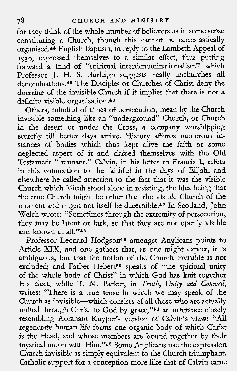for they think of the whole number of believers as in some sense constituting a Church, though this cannot be ecclesiastically organised.44 English Baptists, in reply to the Lambeth Appeal of **1930,** expressed themselves to a similar effect, thus putting forward a kind of "spiritual interdenominationalism" which Professor J. H. S. Burleigh suggests really unchurches all denominations.46 The Disciples or Churches of Christ deny the doctrine of the invisible Church if it implies that there is not a definite visible organisation.46

Others, mindful of times of persecution, man by the Church invisible something like an "underground" Church, or Church in the desert or under the Cross, a company worshipping secretly till better days arrive. History affords numerous instances of bodies which thus kept alive the faith or some neglected aspect of it and classed themselves with the Old Testament "remnant." Calvin, in his letter to Francis I, refers in this connection to the faithful in the days of Elijah, and elsewhere he called attention to the fact that it was the visible Church which Micah stood alone in resisting, the idea being that the true Church might be other than the visible Church of the moment and might not itself be decernible.47 In Scotland, John Welch wrote: "Sometimes through the extremity of persecution, they may be latent or lurk, so that they are not openly visible and known at all."<sup>48</sup>

Professor Leonard Hodgson<sup>49</sup> amongst Anglicans points to Article XIX, and one gathers that, as one might expect, it is ambiguous, but that the notion of the Church invisible is not excluded; and Father Hebert<sup>50</sup> speaks of "the spiritual unity of the whole body of Christ" in which God has knit together His elect, while T. M. Parker, in *Truth,* Unity and Concord, writes: "There is a true sense in which we may speak of the Church as invisible-which consists of all those who are actually united through Christ to God by grace,"<sup>51</sup> an utterance closely resembling Abraham Kuyper's version of Calvin's view: "All regenerate human life forms one organic body of which Christ is the Head, and whose members are bound together by their mystical union with Him."62 Some Anglicans use the expression Church invisible as simply equivalent to the Church triumphant. Catholic support for a conception more like that of Calvin came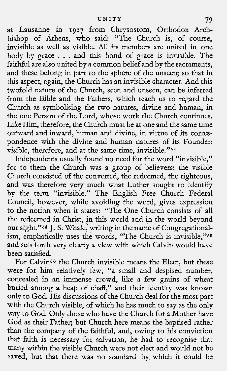at Lausanne in **1927** from Chrysostom, Orthodox Archbishop of Athens, who said: "The Church is, of course, invisible as well as visible. All its members are united in one body by grace . . . and this bond of grace is invisible. The faithful are also united by a common belief and by the sacraments, and these belong in part to the sphere of the unseen; so that in this aspect, again, the Church has an invisible character. And this twofold nature of the Church, seen and unseen, can be inferred from the Bible and the Fathers, which teach us to regard the Church as symbolising the two natures, divine and human, in the one Person of the Lord, whose work the Church continues. Like Him, therefore, the Chuich must be at one and the same time outward and inward, human and divine, in virtue of its correspondence with the divine and human natures of its Founder: visible, therefore, and at the same time, invisible."63

Independents usually found no need for the word "invisible," for to them the Church was a group of believers: the visible Church consisted of the converted, the redeemed, the righteous, and was therefore very much what Luther sought to identify by the term "invisible." The English Free Church Federal Council, however, while avoiding the word, gives expression to the notion when it states: "The One Church consists of all the redeemed in Christ, **fn** this world and in the world beyond our sight."64 J. **S,** Whale, writing in the name of Congregationalism, emphatically uses the words, "The Church is invisible,"55 and sets forth very clearly a view with which Calvin would have been satisfied.

For Calvin56 the Church invisible means the Elect, but these were for him relatively few, "a small and despised number, concealed in an immense crowd, like a few grains of wheat buried among a heap of chaff," and their identity was known only to God. His discussions of the Church deal for the most part with the Church visible, of which he has much to say as the only way to God. Only those who have the Church for a Mother have God as their Father; but Church here means the baptised rather than the company of the faithful, and, owing to his conviction that faith is necessary for salvation, he had to recognise that many within the visible Church were not elect and would not be saved, but that there was no standard by which it could be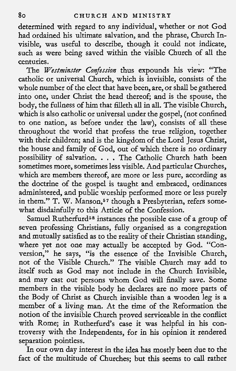determined with regard to any individual, whether or not God had ordained his ultimate salvation, and the phrase, Church Invisible, was useful to describe, though it could not indicate, such as were being saved within the visible Church of all the centuries.

The *Westminster Confession* thus expounds his view: "The catholic or universal Church, which is invisible, consists of the whole number of the elect that have been, are, or shall be gathered into one, under Christ the head thereof; and is the spouse, the body, the fullness of him that filleth all in all. The visible Church, which is also catholic or universal under the gospel, (not confined to one nation, as before under the law), consists of all these throughout the world that profess the true religion, together with their children; and is the kingdom of the Lord Jesus Christ, the house and family of God, out of which there is no ordinary possibility of salvation. . . . The Catholic Church hath been sometimes more, sometimes less visible. And particular Churches, which are members thereof, are more or less pure, according as the doctrine of the gospel is taught and embraced, ordinances administered, and public worship performed more or less purely in them." T. W. Manson,<sup>57</sup> though a Presbyterian, refers somewhat disdainfully to this Article of the Confession.

Samuel Rutherfurd<sup>58</sup> instances the possible case of a group of seven professing Christians, fully organised as a congregation and mutually satisfied as to the reality of their Christian standing, where yet not one may actually be accepted by God. "Conversion," he says, "is the essence of the Invisible Church, not of the Visible Church." The visible Church may add to itself such as God may not include in the Church Invisible, and may cast out persons whom God will finally save. Some members in the visible body he declares are no more parts of the Body of Christ as Church invisible than a wooden leg is a member of a living man. At the time of the Reformation the notion of the invisible Church proved serviceable in the conflict with Rome; in Rutherfurd's case it was helpful in his controversy with the Independents, for in his opinion it rendered separation pointless.

In our own day interest in the idea has mostly been due to the fact of the multitude of Churches; but this seems to call rather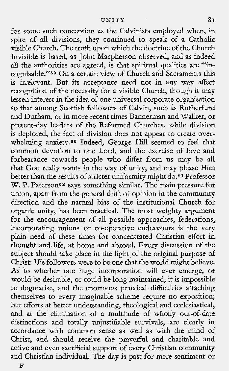for some such conception as the Calvinists employed when, in spite of all divisions, they continued to speak of a Catholic visible Church. The truth upon which the doctrine of the Church Invisible is based, as John Macpherson observed, and as indeed all the authorities are agreed, is that spiritual qualities are "incognisable."69 On a certain view of Church and Sacraments this is irrelevant. But its acceptance need not in any way affect recognition of the necessity for a visible Church, though it may lessen interest in the idea of one universal corporate organisation so that among Scottish followers of Calvin, such as Rutherfurd and Durham, or in more recent times Bannerman and Walker, or present-day leaders of the Reformed Churches, while division is deplored, the fact of division does not appear to create overwhelming anxiety.60 Indeed, George Hill seemed to feel that common devotion to one Lord, and the exercise of love and forbearance towards people who differ from us may be all that God really wants in the way of unity, and may please Him better than the results of stricter uniformity might do.<sup>61</sup> Professor W. P. Paterson<sup>62</sup> says something similar. The main pressure for union, apart from the general drift of opinion in the community direction and the natural bias of the institutional Church for organic unity, has been practical. The most weighty argument for the encouragement of all possible approaches, federations, incorporating unions or co-operative endeavours is the very plain need of these times for concentrated Christian effort in thought and life, at home and abroad. Every discussion of the subject should take place in the light of the original purpose of Christ: His followers were to be one that the world might believe. As to whether one huge incorporation will ever emerge, or would be desirable, or could be long maintained, it is impossible to dogmatise, and the enormous practical difficulties attaching themselves to every imaginable scheme require no exposition; but efforts at better understanding, theological and ecclesiastical, and at the elimination of a multitude of wholly out-of-date distinctions and totally unjustifiable survivals, are clearly in accordance with common sense as well as with the mind of Christ, and should receive the prayerful and charitable and active and even sacrificial support of every Christian community and Christian individual. The day is past for mere sentiment or

**F**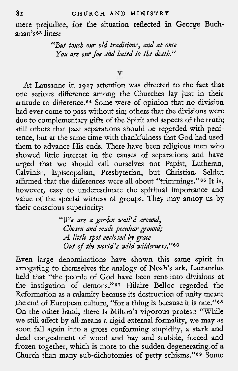## **8** 2 **CHURCH** AND MINISTRY

mere prejudice, for the situation reflected in George Buchanan's63 lines:

> *"But touch our old traditions, and at once You are ow foe and hated to the death."*

> > $\overline{\mathbf{v}}$

At Lausanne in 1927 attention was directed to the fact that one serious difference among the Churches lay just in their attitude to difference.64 Some were of opinion that no division had ever come to pass without sin; others that the divisions were due to complementary gifts of the Spirit and aspects of the truth; still others that past separations should be regarded with penitence, but at the same time with thankfulness that God had used them to advance His ends. There have been religious men who showed little interest in the causes of separations and have urged that we should call ourselves not Papist, Lutheran, Calvinist, Episcopalian, Presbyterian, but Christian. Selden affirmed that the differences were all about "trimmings."<sup>65</sup> It is, however, easy to underestimate the spiritual importance and value of the special witness of groups. They may annoy us by their conscious superiority:

> *"We are a garden wall'd around*, *Chosen and made peculiar ground; A little spot enclosed by grace*  Out *of the world's wild wilderness.,"ee*

Even large denominations have shown this same spirit in arrogating to themselves the analogy of Noah's ark. Lactantius held that "the people of God have been rent-into divisions at the instigation of demons."67 Hilaire Belloc regarded the Reformation as a calamity because its destruction of unity meant the end of European culture, "for a thing is because it is one." $^6$ On the other hand, there is Milton's vigorous protest: "While we still affect by all means a rigid external formality, we may as soon fall again into a gross conforming stupidity, a stark and dead congealment of wood and hay and stubble, forced and frozen together, which is more to the sudden degenerating,of a Church than many sub-dichotomies of petty schisms."<sup>69</sup> Some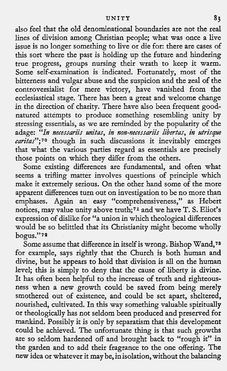## **UNITY 83**

also feel that the old denominational boundaries are not the real lines of division among Christian people; what was once a live issue is no longer something to live or die for: there are cases of this sort where the past is holding up the future and hindering true progress, groups nursing their wrath to keep it warm. Some self-examination is indicated. Fortunately, most of the bitterness and vulgar abuse and the suspicion and the zeal of the controversialist for mere victory, have vanished from the ecclesiastical stage. There has been a great and welcome change in the direction of charity. There have also been frequent goodnatured attempts to produce something resembling unity by stressing essentials, as we are reminded by the popularity of the adage: "In necessariis unitas, in non-necessariis libertas, in utrisque caritas";<sup>70</sup> though in such discussions it inevitably emerges that what the various parties regard as essentials are precisely those points on which they differ from the others.

Some existing differences are fundamental, and often what seems a trifling matter involves questions of principle which make it extremely serious. On the other hand some of the more apparent differences turn out on investigation to be no more than emphases. Again an easy "comprehensiveness," as Hebert notices, may value unity above truth;<sup>71</sup> and we have T. S. Eliot's expression of dislike for "a union in which theological differences would be so belittled that its Christianity might become wholly bogus."71

Some assume that difference in itself is wrong. Bishop Wand,?a for example, says rightly that the Church is both human and divine, but he appears to hold that division is all on the human level; this is simply to deny that the cause of liberty is divine. It has often been helpful to the increase of truth and righteousness when a new growth could be saved from being merely smothered out of existence, and could be set apart, sheltered, nourished, cultivated. In this way something valuable spiritually or theologically has not seldom been produced and preserved for mankind. Possibly it is only by separatism that this development could be achieved. The unfortunate thing is that such growths are so seldom hardened off and brought back to "rough it" in the garden and to add their fragrance to the one offering. The new idea or whatever it may be, inisolation, without the balancing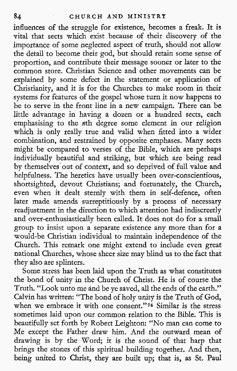influences of the struggle for existence, becomes a freak. It is vital that sects which exist because of their discovery of the importance of some neglected aspect of truth, should not allow the detail to become their god, but should retain some sense of proportion, and contribute their message sooner or later to the common store. Christian Science and other movements can be explained by some defect in the statement or application of Christianity, and it is for the Churches to make room in their systems for features of the gospel whose turn it now happens to be to serve in the front line in a new campaign. There can be little advantage in having a dozen or a hundred sects, each emphasising to the nth degree some element in our religion which is only really true and valid when fitted into a wider combination, and restrained by opposite emphases. Many sects might be compared to verses of the Bible, which are perhaps individually beautiful and striking, but which are being read by themselves'out of context, and so deprived of full value and helpfulness. The heretics have usually been over-conscientious, shortsighted, devout Christians; and fortunately, the Church, even when it dealt sternly with them in self-defence, often later made amends surreptitiously by a process of necessary readjustment in the direction to which attention had indiscreetly and over-enthusiastically been called. It does not do for a small group to insist upon a separate existence any more than for a would-be Christian individual to maintain independence of the Church. This remark one might extend to include even great national Churches, whose sheer size may blind us to the fact that they also are splinters.

Some stress has been laid upon the Truth as what constitutes the bond of unity in the Church of Christ. He is of course the Truth. "Look unto me and be ye saved, all the ends of the earth." Calvin has written: "The bond of holy unity is the Truth of God, when we embrace it with one consent."74 Similar is the stress sometimes laid upon our common relation to the Bible. This is beautifully set forth by Robert Leighton: "No man can come to Me except the Father draw him. And the outward mean of drawing is by the Word; it is the sound of that harp that brings the stones of this spiritual building together. And then, being united to Christ, they are built up; that is, as St. Paul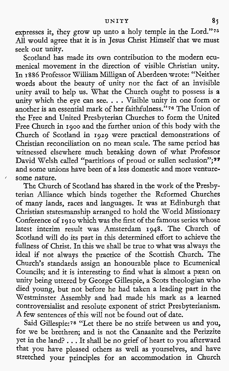### **UNITY 8~**

expresses it, they grow up unto a holy temple in the Lord."76 All would agree that it is in Jesus Christ Himself that we must seek our unity.

Scotland has made its own contribution to the modern ecumenical movement in the direction of visible Christian unity. In **1886** Professor William Milligan of Aberdeen wrote: "Neither words about the beauty of unity nor the fact of an invisible unity avail to help us. What the Church ought to possess is a unity which the eye can see. . . . Visible unity in one form or another is an essential mark of her faithfulness."76 The Union of the Free and United Presbyterian Churches to form the United Free Church in **1900** and the further union of this body with the Church of Scotland in **1929** were practical demonstrations of Christian reconciliation on no mean scale. The same period has witnessed elsewhere much breaking down of what Professor David Welsh called "partitions of proud or sullen seclusion";<sup>77</sup> and some unions have been of a less domestic and more venture some nature.

The Church of Scotland has shared in the work of the Presbyterian Alliance which binds together the Reformed Churches of many lands, races and languages. It was at Edinburgh that Christian statesmanship arranged to hold the World Missionary Conference of **1910** which was the first of the famous series whose latest interim result was Amsterdam **1948.** The Church of Scotland will do its part in this determined effort to achieve the fullness of Christ. In this we shall be true to what was always the ideal if not always the practice of the Scottish Church. The Church's standards assign an honourable place to Ecumenical Councils; and it is interesting to find what is almost a pæan on unity being uttered by George Gillespie, a Scots theologian who died young, but not before he had taken a leading part in the Westminster Assembly and had made his mark as a learned controversialist and resolute exponent of strict Presbyterianism. **A** few sentences of this will not be found out of date.

Said Gillespie:<sup>78</sup> "Let there be no strife between us and you, for we be brethren; and is not the Canaanite and the Perizzite yet in the land? , . . It shall be no grief of heart to you afterward that you have pleased others as well as yourselves, and have stretched your principles for an accommodation in Church